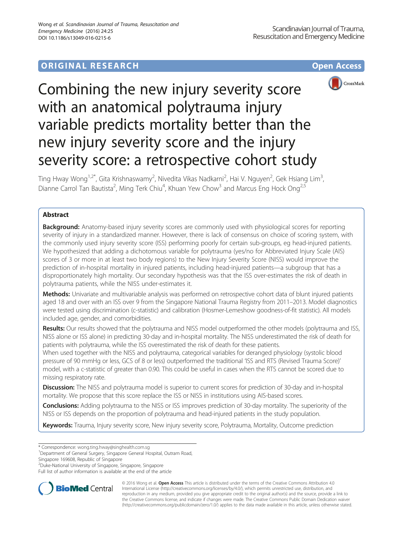## **ORIGINAL RESEARCH CONSUMING ACCESS**



# Combining the new injury severity score with an anatomical polytrauma injury variable predicts mortality better than the new injury severity score and the injury severity score: a retrospective cohort study

Ting Hway Wong<sup>1,2\*</sup>, Gita Krishnaswamy<sup>2</sup>, Nivedita Vikas Nadkarni<sup>2</sup>, Hai V. Nguyen<sup>2</sup>, Gek Hsiang Lim<sup>3</sup> , Dianne Carrol Tan Bautista<sup>2</sup>, Ming Terk Chiu<sup>4</sup>, Khuan Yew Chow<sup>3</sup> and Marcus Eng Hock Ong<sup>2,5</sup>

## Abstract

**Background:** Anatomy-based injury severity scores are commonly used with physiological scores for reporting severity of injury in a standardized manner. However, there is lack of consensus on choice of scoring system, with the commonly used injury severity score (ISS) performing poorly for certain sub-groups, eg head-injured patients. We hypothesized that adding a dichotomous variable for polytrauma (yes/no for Abbreviated Injury Scale (AIS) scores of 3 or more in at least two body regions) to the New Injury Severity Score (NISS) would improve the prediction of in-hospital mortality in injured patients, including head-injured patients—a subgroup that has a disproportionately high mortality. Our secondary hypothesis was that the ISS over-estimates the risk of death in polytrauma patients, while the NISS under-estimates it.

Methods: Univariate and multivariable analysis was performed on retrospective cohort data of blunt injured patients aged 18 and over with an ISS over 9 from the Singapore National Trauma Registry from 2011–2013. Model diagnostics were tested using discrimination (c-statistic) and calibration (Hosmer-Lemeshow goodness-of-fit statistic). All models included age, gender, and comorbidities.

Results: Our results showed that the polytrauma and NISS model outperformed the other models (polytrauma and ISS, NISS alone or ISS alone) in predicting 30-day and in-hospital mortality. The NISS underestimated the risk of death for patients with polytrauma, while the ISS overestimated the risk of death for these patients.

When used together with the NISS and polytrauma, categorical variables for deranged physiology (systolic blood pressure of 90 mmHg or less, GCS of 8 or less) outperformed the traditional 'ISS and RTS (Revised Trauma Score)' model, with a c-statistic of greater than 0.90. This could be useful in cases when the RTS cannot be scored due to missing respiratory rate.

**Discussion:** The NISS and polytrauma model is superior to current scores for prediction of 30-day and in-hospital mortality. We propose that this score replace the ISS or NISS in institutions using AIS-based scores.

**Conclusions:** Adding polytrauma to the NISS or ISS improves prediction of 30-day mortality. The superiority of the NISS or ISS depends on the proportion of polytrauma and head-injured patients in the study population.

Keywords: Trauma, Injury severity score, New injury severity score, Polytrauma, Mortality, Outcome prediction

<sup>1</sup>Department of General Surgery, Singapore General Hospital, Outram Road,

Singapore 169608, Republic of Singapore

2 Duke-National University of Singapore, Singapore, Singapore

Full list of author information is available at the end of the article



© 2016 Wong et al. Open Access This article is distributed under the terms of the Creative Commons Attribution 4.0 International License [\(http://creativecommons.org/licenses/by/4.0/](http://creativecommons.org/licenses/by/4.0/)), which permits unrestricted use, distribution, and reproduction in any medium, provided you give appropriate credit to the original author(s) and the source, provide a link to the Creative Commons license, and indicate if changes were made. The Creative Commons Public Domain Dedication waiver [\(http://creativecommons.org/publicdomain/zero/1.0/](http://creativecommons.org/publicdomain/zero/1.0/)) applies to the data made available in this article, unless otherwise stated.

<sup>\*</sup> Correspondence: [wong.ting.hway@singhealth.com.sg](mailto:wong.ting.hway@singhealth.com.sg) <sup>1</sup>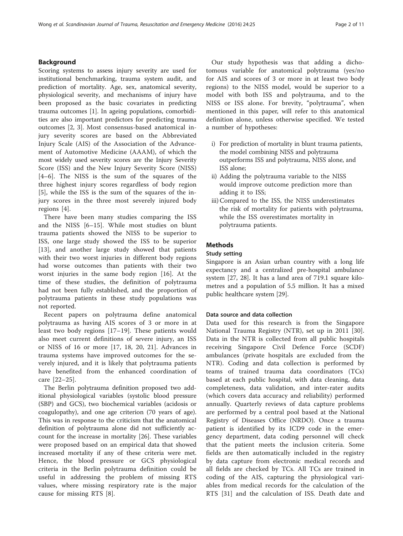## Background

Scoring systems to assess injury severity are used for institutional benchmarking, trauma system audit, and prediction of mortality. Age, sex, anatomical severity, physiological severity, and mechanisms of injury have been proposed as the basic covariates in predicting trauma outcomes [[1](#page-9-0)]. In ageing populations, comorbidities are also important predictors for predicting trauma outcomes [\[2](#page-9-0), [3\]](#page-9-0). Most consensus-based anatomical injury severity scores are based on the Abbreviated Injury Scale (AIS) of the Association of the Advancement of Automotive Medicine (AAAM), of which the most widely used severity scores are the Injury Severity Score (ISS) and the New Injury Severity Score (NISS) [[4](#page-9-0)–[6\]](#page-9-0). The NISS is the sum of the squares of the three highest injury scores regardless of body region [[5\]](#page-9-0), while the ISS is the sum of the squares of the injury scores in the three most severely injured body regions [\[4](#page-9-0)].

There have been many studies comparing the ISS and the NISS [\[6](#page-9-0)–[15](#page-9-0)]. While most studies on blunt trauma patients showed the NISS to be superior to ISS, one large study showed the ISS to be superior [[13\]](#page-9-0), and another large study showed that patients with their two worst injuries in different body regions had worse outcomes than patients with their two worst injuries in the same body region [[16\]](#page-9-0). At the time of these studies, the definition of polytrauma had not been fully established, and the proportion of polytrauma patients in these study populations was not reported.

Recent papers on polytrauma define anatomical polytrauma as having AIS scores of 3 or more in at least two body regions [[17](#page-9-0)–[19\]](#page-9-0). These patients would also meet current definitions of severe injury, an ISS or NISS of 16 or more [[17](#page-9-0), [18, 20, 21\]](#page-9-0). Advances in trauma systems have improved outcomes for the severely injured, and it is likely that polytrauma patients have benefited from the enhanced coordination of care [[22](#page-9-0)–[25](#page-9-0)].

The Berlin polytrauma definition proposed two additional physiological variables (systolic blood pressure (SBP) and GCS), two biochemical variables (acidosis or coagulopathy), and one age criterion (70 years of age). This was in response to the criticism that the anatomical definition of polytrauma alone did not sufficiently account for the increase in mortality [\[26](#page-9-0)]. These variables were proposed based on an empirical data that showed increased mortality if any of these criteria were met. Hence, the blood pressure or GCS physiological criteria in the Berlin polytrauma definition could be useful in addressing the problem of missing RTS values, where missing respiratory rate is the major cause for missing RTS [[8\]](#page-9-0).

Our study hypothesis was that adding a dichotomous variable for anatomical polytrauma (yes/no for AIS and scores of 3 or more in at least two body regions) to the NISS model, would be superior to a model with both ISS and polytrauma, and to the NISS or ISS alone. For brevity, "polytrauma", when mentioned in this paper, will refer to this anatomical definition alone, unless otherwise specified. We tested a number of hypotheses:

- i) For prediction of mortality in blunt trauma patients, the model combining NISS and polytrauma outperforms ISS and polytrauma, NISS alone, and ISS alone;
- ii) Adding the polytrauma variable to the NISS would improve outcome prediction more than adding it to ISS;
- iii) Compared to the ISS, the NISS underestimates the risk of mortality for patients with polytrauma, while the ISS overestimates mortality in polytrauma patients.

## **Methods**

## Study setting

Singapore is an Asian urban country with a long life expectancy and a centralized pre-hospital ambulance system [\[27](#page-9-0), [28\]](#page-9-0). It has a land area of 719.1 square kilometres and a population of 5.5 million. It has a mixed public healthcare system [[29](#page-9-0)].

## Data source and data collection

Data used for this research is from the Singapore National Trauma Registry (NTR), set up in 2011 [\[30](#page-9-0)]. Data in the NTR is collected from all public hospitals receiving Singapore Civil Defence Force (SCDF) ambulances (private hospitals are excluded from the NTR). Coding and data collection is performed by teams of trained trauma data coordinators (TCs) based at each public hospital, with data cleaning, data completeness, data validation, and inter-rater audits (which covers data accuracy and reliability) performed annually. Quarterly reviews of data capture problems are performed by a central pool based at the National Registry of Diseases Office (NRDO). Once a trauma patient is identified by its ICD9 code in the emergency department, data coding personnel will check that the patient meets the inclusion criteria. Some fields are then automatically included in the registry by data capture from electronic medical records and all fields are checked by TCs. All TCs are trained in coding of the AIS, capturing the physiological variables from medical records for the calculation of the RTS [[31\]](#page-9-0) and the calculation of ISS. Death date and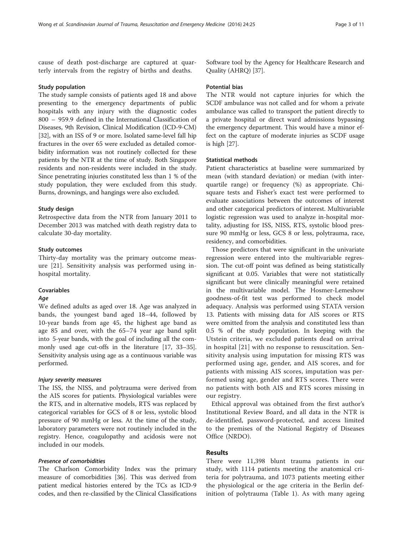cause of death post-discharge are captured at quarterly intervals from the registry of births and deaths.

#### Study population

The study sample consists of patients aged 18 and above presenting to the emergency departments of public hospitals with any injury with the diagnostic codes 800 – 959.9 defined in the International Classification of Diseases, 9th Revision, Clinical Modification (ICD-9-CM) [[32](#page-9-0)], with an ISS of 9 or more. Isolated same-level fall hip fractures in the over 65 were excluded as detailed comorbidity information was not routinely collected for these patients by the NTR at the time of study. Both Singapore residents and non-residents were included in the study. Since penetrating injuries constituted less than 1 % of the study population, they were excluded from this study. Burns, drownings, and hangings were also excluded.

## Study design

Retrospective data from the NTR from January 2011 to December 2013 was matched with death registry data to calculate 30-day mortality.

## Study outcomes

Thirty-day mortality was the primary outcome measure [\[21](#page-9-0)]. Sensitivity analysis was performed using inhospital mortality.

## Covariables

#### Age

We defined adults as aged over 18. Age was analyzed in bands, the youngest band aged 18–44, followed by 10-year bands from age 45, the highest age band as age 85 and over, with the 65–74 year age band split into 5-year bands, with the goal of including all the commonly used age cut-offs in the literature [[17, 33](#page-9-0)–[35](#page-10-0)]. Sensitivity analysis using age as a continuous variable was performed.

## Injury severity measures

The ISS, the NISS, and polytrauma were derived from the AIS scores for patients. Physiological variables were the RTS, and in alternative models, RTS was replaced by categorical variables for GCS of 8 or less, systolic blood pressure of 90 mmHg or less. At the time of the study, laboratory parameters were not routinely included in the registry. Hence, coagulopathy and acidosis were not included in our models.

## Presence of comorbidities

The Charlson Comorbidity Index was the primary measure of comorbidities [[36](#page-10-0)]. This was derived from patient medical histories entered by the TCs as ICD-9 codes, and then re-classified by the Clinical Classifications Software tool by the Agency for Healthcare Research and Quality (AHRQ) [[37](#page-10-0)].

#### Potential bias

The NTR would not capture injuries for which the SCDF ambulance was not called and for whom a private ambulance was called to transport the patient directly to a private hospital or direct ward admissions bypassing the emergency department. This would have a minor effect on the capture of moderate injuries as SCDF usage is high [[27\]](#page-9-0).

## Statistical methods

Patient characteristics at baseline were summarized by mean (with standard deviation) or median (with interquartile range) or frequency (%) as appropriate. Chisquare tests and Fisher's exact test were performed to evaluate associations between the outcomes of interest and other categorical predictors of interest. Multivariable logistic regression was used to analyze in-hospital mortality, adjusting for ISS, NISS, RTS, systolic blood pressure 90 mmHg or less, GCS 8 or less, polytrauma, race, residency, and comorbidities.

Those predictors that were significant in the univariate regression were entered into the multivariable regression. The cut-off point was defined as being statistically significant at 0.05. Variables that were not statistically significant but were clinically meaningful were retained in the multivariable model. The Hosmer-Lemeshow goodness-of-fit test was performed to check model adequacy. Analysis was performed using STATA version 13. Patients with missing data for AIS scores or RTS were omitted from the analysis and constituted less than 0.5 % of the study population. In keeping with the Utstein criteria, we excluded patients dead on arrival in hospital [[21](#page-9-0)] with no response to resuscitation. Sensitivity analysis using imputation for missing RTS was performed using age, gender, and AIS scores, and for patients with missing AIS scores, imputation was performed using age, gender and RTS scores. There were no patients with both AIS and RTS scores missing in our registry.

Ethical approval was obtained from the first author's Institutional Review Board, and all data in the NTR is de-identified, password-protected, and access limited to the premises of the National Registry of Diseases Office (NRDO).

## **Results**

There were 11,398 blunt trauma patients in our study, with 1114 patients meeting the anatomical criteria for polytrauma, and 1073 patients meeting either the physiological or the age criteria in the Berlin definition of polytrauma (Table [1](#page-3-0)). As with many ageing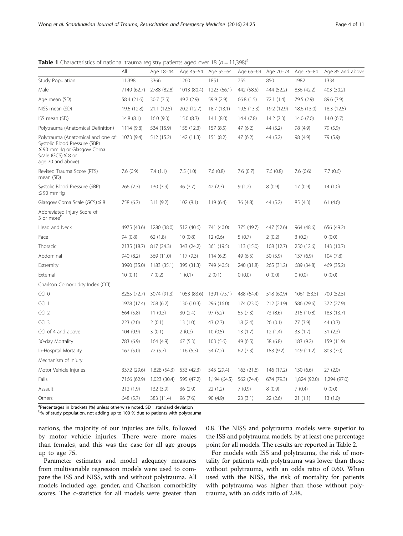<span id="page-3-0"></span>**Table 1** Characteristics of national trauma registry patients aged over 18 ( $n = 11,398$ )<sup>a</sup>

|                                                                                                                                                       | All         | Age 18-44    | Age 45-54   | Age 55-64    | Age 65-69   | Age 70-74   | Age 75-84    | Age 85 and above |
|-------------------------------------------------------------------------------------------------------------------------------------------------------|-------------|--------------|-------------|--------------|-------------|-------------|--------------|------------------|
| <b>Study Population</b>                                                                                                                               | 11,398      | 3366         | 1260        | 1851         | 755         | 850         | 1982         | 1334             |
| Male                                                                                                                                                  | 7149 (62.7) | 2788 (82.8)  | 1013 (80.4) | 1223 (66.1)  | 442 (58.5)  | 444 (52.2)  | 836 (42.2)   | 403 (30.2)       |
| Age mean (SD)                                                                                                                                         | 58.4 (21.6) | 30.7(7.5)    | 49.7 (2.9)  | 59.9 (2.9)   | 66.8(1.5)   | 72.1 (1.4)  | 79.5 (2.9)   | 89.6 (3.9)       |
| NISS mean (SD)                                                                                                                                        | 19.6 (12.8) | 21.1(12.5)   | 20.2 (12.7) | 18.7(13.1)   | 19.5 (13.3) | 19.2 (12.9) | 18.6 (13.0)  | 18.3 (12.5)      |
| ISS mean (SD)                                                                                                                                         | 14.8(8.1)   | 16.0(9.3)    | 15.0 (8.3)  | 14.1(8.0)    | 14.4(7.8)   | 14.2 (7.3)  | 14.0(7.0)    | 14.0(6.7)        |
| Polytrauma (Anatomical Definition)                                                                                                                    | 1114 (9.8)  | 534 (15.9)   | 155 (12.3)  | 157(8.5)     | 47(6.2)     | 44 (5.2)    | 98 (4.9)     | 79 (5.9)         |
| Polytrauma (Anatomical and one of:<br>Systolic Blood Pressure (SBP)<br>$\leq$ 90 mmHg or Glasgow Coma<br>Scale (GCS) $\leq$ 8 or<br>age 70 and above) | 1073 (9.4)  | 512 (15.2)   | 142 (11.3)  | 151(8.2)     | 47(6.2)     | 44 (5.2)    | 98 (4.9)     | 79 (5.9)         |
| Revised Trauma Score (RTS)<br>mean (SD)                                                                                                               | 7.6(0.9)    | 7.4(1.1)     | 7.5(1.0)    | 7.6(0.8)     | 7.6(0.7)    | 7.6(0.8)    | 7.6(0.6)     | 7.7(0.6)         |
| Systolic Blood Pressure (SBP)<br>$\leq 90$ mmHq                                                                                                       | 266(2.3)    | 130(3.9)     | 46 (3.7)    | 42(2.3)      | 9(1.2)      | 8(0.9)      | 17(0.9)      | 14(1.0)          |
| Glasgow Coma Scale (GCS) $\leq 8$                                                                                                                     | 758 (6.7)   | 311(9.2)     | 102(8.1)    | 119(6.4)     | 36(4.8)     | 44 (5.2)    | 85(4.3)      | 61(4.6)          |
| Abbreviated Injury Score of<br>3 or more <sup>b</sup>                                                                                                 |             |              |             |              |             |             |              |                  |
| Head and Neck                                                                                                                                         | 4975 (43.6) | 1280 (38.0)  | 512 (40.6)  | 741 (40.0)   | 375 (49.7)  | 447 (52.6)  | 964 (48.6)   | 656 (49.2)       |
| Face                                                                                                                                                  | 94 (0.8)    | 62(1.8)      | 10(0.8)     | 12(0.6)      | 5(0.7)      | 2(0.2)      | 3(0.2)       | 0(0.0)           |
| Thoracic                                                                                                                                              | 2135 (18.7) | 817 (24.3)   | 343 (24.2)  | 361 (19.5)   | 113 (15.0)  | 108 (12.7)  | 250 (12.6)   | 143 (10.7)       |
| Abdominal                                                                                                                                             | 940 (8.2)   | 369 (11.0)   | 117(9.3)    | 114(6.2)     | 49 (6.5)    | 50(5.9)     | 137(6.9)     | 104(7.8)         |
| Extremity                                                                                                                                             | 3990 (35.0) | 1183(35.1)   | 395 (31.3)  | 749 (40.5)   | 240 (31.8)  | 265 (31.2)  | 689 (34.8)   | 469 (35.2)       |
| External                                                                                                                                              | 10(0.1)     | 7(0.2)       | 1(0.1)      | 2(0.1)       | 0(0.0)      | 0(0.0)      | 0(0.0)       | 0(0.0)           |
| Charlson Comorbidity Index (CCI)                                                                                                                      |             |              |             |              |             |             |              |                  |
| CCI <sub>0</sub>                                                                                                                                      | 8285 (72.7) | 3074 (91.3)  | 1053 (83.6) | 1391 (75.1)  | 488 (64.4)  | 518 (60.9)  | 1061 (53.5)  | 700 (52.5)       |
| CCI <sub>1</sub>                                                                                                                                      | 1978 (17.4) | 208(6.2)     | 130 (10.3)  | 296 (16.0)   | 174 (23.0)  | 212 (24.9)  | 586 (29.6)   | 372 (27.9)       |
| CCI <sub>2</sub>                                                                                                                                      | 664 (5.8)   | 11(0.3)      | 30(2.4)     | 97(5.2)      | 55(7.3)     | 73 (8.6)    | 215 (10.8)   | 183 (13.7)       |
| $CCI$ 3                                                                                                                                               | 223(2.0)    | 2(0.1)       | 13(1.0)     | 43 (2.3)     | 18(2.4)     | 26(3.1)     | 77 (3.9)     | 44 (3.3)         |
| CCI of 4 and above                                                                                                                                    | 104(0.9)    | 3(0.1)       | 2(0.2)      | 10(0.5)      | 13(1.7)     | 12(1.4)     | 33(1.7)      | 31(2.3)          |
| 30-day Mortality                                                                                                                                      | 783 (6.9)   | 164 (4.9)    | 67(5.3)     | 103(5.6)     | 49 (6.5)    | 58 (6.8)    | 183 (9.2)    | 159 (11.9)       |
| In-Hospital Mortality                                                                                                                                 | 167(5.0)    | 72(5.7)      | 116(6.3)    | 54 (7.2)     | 62(7.3)     | 183 (9.2)   | 149 (11.2)   | 803 (7.0)        |
| Mechanism of Injury                                                                                                                                   |             |              |             |              |             |             |              |                  |
| Motor Vehicle Injuries                                                                                                                                | 3372 (29.6) | 1,828 (54.3) | 533 (42.3)  | 545 (29.4)   | 163 (21.6)  | 146 (17.2)  | 130(6.6)     | 27(2.0)          |
| Falls                                                                                                                                                 | 7166 (62.9) | 1,023 (30.4) | 595 (47.2)  | 1,194 (64.5) | 562 (74.4)  | 674 (79.3)  | 1,824 (92.0) | 1,294 (97.0)     |
| Assault                                                                                                                                               | 212 (1.9)   | 132(3.9)     | 36(2.9)     | 22(1.2)      | 7(0.9)      | 8(0.9)      | 7(0.4)       | 0(0.0)           |
| Others                                                                                                                                                | 648 (5.7)   | 383 (11.4)   | 96(7.6)     | 90 (4.9)     | 23(3.1)     | 22(2.6)     | 21(1.1)      | 13(1.0)          |

<sup>a</sup>Percentages in brackets (%) unless otherwise noted. SD = standard deviation

<sup>b</sup>% of study population, not adding up to 100 % due to patients with polytrauma

nations, the majority of our injuries are falls, followed by motor vehicle injuries. There were more males than females, and this was the case for all age groups up to age 75.

Parameter estimates and model adequacy measures from multivariable regression models were used to compare the ISS and NISS, with and without polytrauma. All models included age, gender, and Charlson comorbidity scores. The c-statistics for all models were greater than 0.8. The NISS and polytrauma models were superior to the ISS and polytrauma models, by at least one percentage point for all models. The results are reported in Table [2](#page-4-0).

For models with ISS and polytrauma, the risk of mortality for patients with polytrauma was lower than those without polytrauma, with an odds ratio of 0.60. When used with the NISS, the risk of mortality for patients with polytrauma was higher than those without polytrauma, with an odds ratio of 2.48.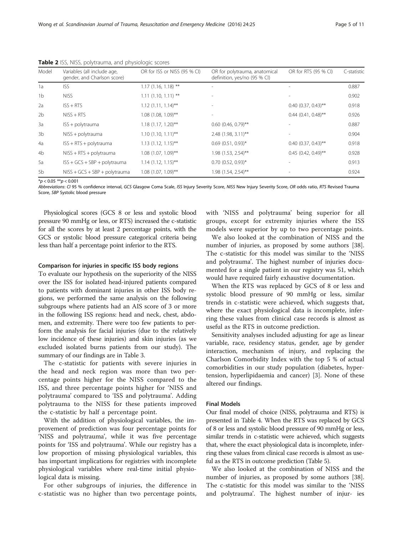| Model          | Variables (all include age,<br>gender, and Charlson score) | OR for ISS or NISS (95 % CI) | OR for polytrauma, anatomical<br>definition, yes/no (95 % CI) | OR for RTS (95 % CI)  | C-statistic |
|----------------|------------------------------------------------------------|------------------------------|---------------------------------------------------------------|-----------------------|-------------|
| 1a             | <b>ISS</b>                                                 | $1.17(1.16, 1.18)$ **        |                                                               |                       | 0.887       |
| 1 <sub>b</sub> | <b>NISS</b>                                                | $1.11$ (1.10, 1.11) **       |                                                               |                       | 0.902       |
| 2a             | $ISS + RTS$                                                | $1.12$ (1.11, 1.14)**        |                                                               | $0.40$ (0.37, 0.43)** | 0.918       |
| 2 <sub>b</sub> | $NISS + RTS$                                               | $1.08$ (1.08, 1.09)**        |                                                               | $0.44$ (0.41, 0.48)** | 0.926       |
| 3a             | $ISS + polytrauma$                                         | $1.18(1.17, 1.20)$ **        | $0.60$ (0.46, 0.79)**                                         |                       | 0.887       |
| 3b             | $NISS + poly$ trauma                                       | $1.10(1.10, 1.11)$ **        | 2.48 (1.98, 3.11)**                                           |                       | 0.904       |
| 4a             | $ISS + RTS + poly$ trauma                                  | $1.13$ (1.12, 1.15)**        | $0.69$ (0.51, 0.93)*                                          | $0.40$ (0.37, 0.43)** | 0.918       |
| 4b             | $NISS + RTS + polytrauma$                                  | $1.08$ (1.07, 1.09)**        | 1.98 (1.53, 2.54)**                                           | $0.45$ (0.42, 0.49)** | 0.928       |
| 5a             | $ISS + GCS + SBP + polytrauma$                             | $1.14$ (1.12, 1.15)**        | $0.70$ (0.52, 0.93)*                                          |                       | 0.913       |
| 5b             | $NISS + GCS + SBP + polytramma$                            | $1.08$ (1.07, 1.09)**        | 1.98 (1.54, 2.54)**                                           |                       | 0.924       |

<span id="page-4-0"></span>Table 2 ISS, NISS, polytrauma, and physiologic scores

 $**p* < 0.05$   $***p* < 0.001$ 

Abbreviations: CI 95 % confidence interval, GCS Glasgow Coma Scale, ISS Injury Severity Score, NISS New Injury Severity Score, OR odds ratio, RTS Revised Trauma Score, SBP Systolic blood pressure

Physiological scores (GCS 8 or less and systolic blood pressure 90 mmHg or less, or RTS) increased the c-statistic for all the scores by at least 2 percentage points, with the GCS or systolic blood pressure categorical criteria being less than half a percentage point inferior to the RTS.

#### Comparison for injuries in specific ISS body regions

To evaluate our hypothesis on the superiority of the NISS over the ISS for isolated head-injured patients compared to patients with dominant injuries in other ISS body regions, we performed the same analysis on the following subgroups where patients had an AIS score of 3 or more in the following ISS regions: head and neck, chest, abdomen, and extremity. There were too few patients to perform the analysis for facial injuries (due to the relatively low incidence of these injuries) and skin injuries (as we excluded isolated burns patients from our study). The summary of our findings are in Table [3](#page-5-0).

The c-statistic for patients with severe injuries in the head and neck region was more than two percentage points higher for the NISS compared to the ISS, and three percentage points higher for 'NISS and polytrauma' compared to 'ISS and polytrauma'. Adding polytrauma to the NISS for these patients improved the c-statistic by half a percentage point.

With the addition of physiological variables, the improvement of prediction was four percentage points for 'NISS and polytrauma', while it was five percentage points for 'ISS and polytrauma'. While our registry has a low proportion of missing physiological variables, this has important implications for registries with incomplete physiological variables where real-time initial physiological data is missing.

For other subgroups of injuries, the difference in c-statistic was no higher than two percentage points, with 'NISS and polytrauma' being superior for all groups, except for extremity injuries where the ISS models were superior by up to two percentage points.

We also looked at the combination of NISS and the number of injuries, as proposed by some authors [\[38](#page-10-0)]. The c-statistic for this model was similar to the 'NISS and polytrauma'. The highest number of injuries documented for a single patient in our registry was 51, which would have required fairly exhaustive documentation.

When the RTS was replaced by GCS of 8 or less and systolic blood pressure of 90 mmHg or less, similar trends in c-statistic were achieved, which suggests that, where the exact physiological data is incomplete, inferring these values from clinical case records is almost as useful as the RTS in outcome prediction.

Sensitivity analyses included adjusting for age as linear variable, race, residency status, gender, age by gender interaction, mechanism of injury, and replacing the Charlson Comorbidity Index with the top 5 % of actual comorbidities in our study population (diabetes, hypertension, hyperlipidaemia and cancer) [\[3](#page-9-0)]. None of these altered our findings.

## Final Models

Our final model of choice (NISS, polytrauma and RTS) is presented in Table [4.](#page-8-0) When the RTS was replaced by GCS of 8 or less and systolic blood pressure of 90 mmHg or less, similar trends in c-statistic were achieved, which suggests that, where the exact physiological data is incomplete, inferring these values from clinical case records is almost as useful as the RTS in outcome prediction (Table [5\)](#page-8-0).

We also looked at the combination of NISS and the number of injuries, as proposed by some authors [\[38](#page-10-0)]. The c-statistic for this model was similar to the 'NISS and polytrauma'. The highest number of injur- ies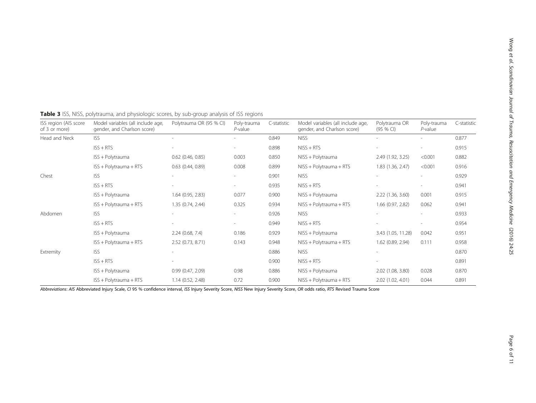| ISS region (AIS score<br>of 3 or more) | Model variables (all include age,<br>gender, and Charlson score) | Polytrauma OR (95 % CI) | Poly-trauma<br>$P$ -value | C-statistic | Model variables (all include age,<br>gender, and Charlson score) | Polytrauma OR<br>(95 % C) | Poly-trauma<br>$P$ -value | C-statistic |
|----------------------------------------|------------------------------------------------------------------|-------------------------|---------------------------|-------------|------------------------------------------------------------------|---------------------------|---------------------------|-------------|
| Head and Neck                          | <b>ISS</b>                                                       |                         |                           | 0.849       | <b>NISS</b>                                                      | $\overline{\phantom{a}}$  |                           | 0.877       |
|                                        | $ISS + RTS$                                                      |                         |                           | 0.898       | $NISS + RTS$                                                     |                           |                           | 0.915       |
|                                        | ISS + Polytrauma                                                 | $0.62$ (0.46, 0.85)     | 0.003                     | 0.850       | NISS + Polytrauma                                                | 2.49 (1.92, 3.25)         | < 0.001                   | 0.882       |
|                                        | ISS + Polytrauma + RTS                                           | $0.63$ $(0.44, 0.89)$   | 0.008                     | 0.899       | NISS + Polytrauma + RTS                                          | 1.83 (1.36, 2.47)         | < 0.001                   | 0.916       |
| Chest                                  | <b>ISS</b>                                                       |                         |                           | 0.901       | <b>NISS</b>                                                      |                           |                           | 0.929       |
|                                        | $ISS + RTS$                                                      |                         | $\sim$                    | 0.935       | $NISS + RTS$                                                     |                           |                           | 0.941       |
|                                        | ISS + Polytrauma                                                 | 1.64 (0.95, 2.83)       | 0.077                     | 0.900       | NISS + Polytrauma                                                | 2.22 (1.36, 3.60)         | 0.001                     | 0.915       |
|                                        | ISS + Polytrauma + RTS                                           | 1.35 (0.74, 2.44)       | 0.325                     | 0.934       | NISS + Polytrauma + RTS                                          | 1.66 (0.97, 2.82)         | 0.062                     | 0.941       |
| Abdomen                                | <b>ISS</b>                                                       |                         |                           | 0.926       | <b>NISS</b>                                                      |                           |                           | 0.933       |
|                                        | $ISS + RTS$                                                      |                         |                           | 0.949       | $NISS + RTS$                                                     |                           |                           | 0.954       |
|                                        | ISS + Polytrauma                                                 | 2.24(0.68, 7.4)         | 0.186                     | 0.929       | NISS + Polytrauma                                                | 3.43 (1.05, 11.28)        | 0.042                     | 0.951       |
|                                        | ISS + Polytrauma + RTS                                           | 2.52 (0.73, 8.71)       | 0.143                     | 0.948       | NISS + Polytrauma + RTS                                          | 1.62 (0.89, 2.94)         | 0.111                     | 0.958       |
| Extremity                              | <b>ISS</b>                                                       |                         |                           | 0.886       | <b>NISS</b>                                                      |                           |                           | 0.870       |
|                                        | $ISS + RTS$                                                      |                         |                           | 0.900       | $NISS + RTS$                                                     |                           |                           | 0.891       |
|                                        | ISS + Polytrauma                                                 | 0.99(0.47, 2.09)        | 0.98                      | 0.886       | NISS + Polytrauma                                                | 2.02 (1.08, 3.80)         | 0.028                     | 0.870       |
|                                        | ISS + Polytrauma + RTS                                           | 1.14(0.52, 2.48)        | 0.72                      | 0.900       | NISS + Polytrauma + RTS                                          | 2.02 (1.02, 4.01)         | 0.044                     | 0.891       |

## <span id="page-5-0"></span>Table 3 ISS, NISS, polytrauma, and physiologic scores, by sub-group analysis of ISS regions

Abbreviations: AIS Abbreviated Injury Scale, CI 95 % confidence interval, ISS Injury Severity Score, NISS New Injury Severity Score, OR odds ratio, RTS Revised Trauma Score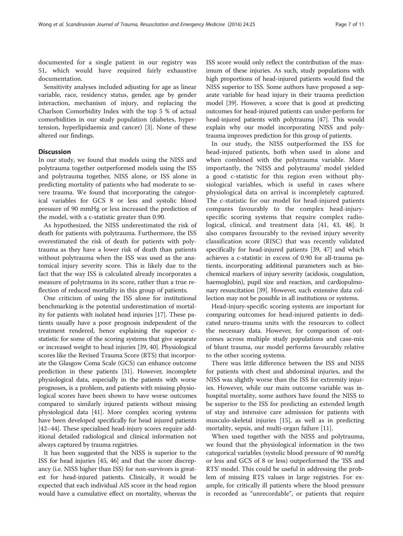documented for a single patient in our registry was 51, which would have required fairly exhaustive documentation.

Sensitivity analyses included adjusting for age as linear variable, race, residency status, gender, age by gender interaction, mechanism of injury, and replacing the Charlson Comorbidity Index with the top 5 % of actual comorbidities in our study population (diabetes, hypertension, hyperlipidaemia and cancer) [\[3](#page-9-0)]. None of these altered our findings.

## **Discussion**

In our study, we found that models using the NISS and polytrauma together outperformed models using the ISS and polytrauma together, NISS alone, or ISS alone in predicting mortality of patients who had moderate to severe trauma. We found that incorporating the categorical variables for GCS 8 or less and systolic blood pressure of 90 mmHg or less increased the prediction of the model, with a c-statistic greater than 0.90.

As hypothesized, the NISS underestimated the risk of death for patients with polytrauma. Furthermore, the ISS overestimated the risk of death for patients with polytrauma as they have a lower risk of death than patients without polytrauma when the ISS was used as the anatomical injury severity score. This is likely due to the fact that the way ISS is calculated already incorporates a measure of polytrauma in its score, rather than a true reflection of reduced mortality in this group of patients.

One criticism of using the ISS alone for institutional benchmarking is the potential underestimation of mortality for patients with isolated head injuries [\[17\]](#page-9-0). These patients usually have a poor prognosis independent of the treatment rendered, hence explaining the superior cstatistic for some of the scoring systems that give separate or increased weight to head injuries [\[39](#page-10-0), [40\]](#page-10-0). Physiological scores like the Revised Trauma Score (RTS) that incorporate the Glasgow Coma Scale (GCS) can enhance outcome prediction in these patients [[31](#page-9-0)]. However, incomplete physiological data, especially in the patients with worse prognoses, is a problem, and patients with missing physiological scores have been shown to have worse outcomes compared to similarly injured patients without missing physiological data [[41](#page-10-0)]. More complex scoring systems have been developed specifically for head injured patients [[42](#page-10-0)–[44\]](#page-10-0). These specialised head-injury scores require additional detailed radiological and clinical information not always captured by trauma registries.

It has been suggested that the NISS is superior to the ISS for head injuries [[45](#page-10-0), [46\]](#page-10-0) and that the score discrepancy (i.e. NISS higher than ISS) for non-survivors is greatest for head-injured patients. Clinically, it would be expected that each individual AIS score in the head region would have a cumulative effect on mortality, whereas the

ISS score would only reflect the contribution of the maximum of these injuries. As such, study populations with high proportions of head-injured patients would find the NISS superior to ISS. Some authors have proposed a separate variable for head injury in their trauma prediction model [\[39\]](#page-10-0). However, a score that is good at predicting outcomes for head-injured patients can under-perform for head-injured patients with polytrauma [\[47\]](#page-10-0). This would explain why our model incorporating NISS and polytrauma improves prediction for this group of patients.

In our study, the NISS outperformed the ISS for head-injured patients, both when used in alone and when combined with the polytrauma variable. More importantly, the 'NISS and polytrauma' model yielded a good c-statistic for this region even without physiological variables, which is useful in cases where physiological data on arrival is incompletely captured. The c-statistic for our model for head-injured patients compares favourably to the complex head-injuryspecific scoring systems that require complex radiological, clinical, and treatment data [\[41, 43, 48](#page-10-0)]. It also compares favourably to the revised injury severity classification score (RISC) that was recently validated specifically for head-injured patients [\[39, 47\]](#page-10-0) and which achieves a c-statistic in excess of 0.90 for all-trauma patients, incorporating additional parameters such as biochemical markers of injury severity (acidosis, coagulation, haemoglobin), pupil size and reaction, and cardiopulmonary resuscitation [[39](#page-10-0)]. However, such extensive data collection may not be possible in all institutions or systems.

Head-injury-specific scoring systems are important for comparing outcomes for head-injured patients in dedicated neuro-trauma units with the resources to collect the necessary data. However, for comparison of outcomes across multiple study populations and case-mix of blunt trauma, our model performs favourably relative to the other scoring systems.

There was little difference between the ISS and NISS for patients with chest and abdominal injuries, and the NISS was slightly worse than the ISS for extremity injuries. However, while our main outcome variable was inhospital mortality, some authors have found the NISS to be superior to the ISS for predicting an extended length of stay and intensive care admission for patients with musculo-skeletal injuries [\[15](#page-9-0)], as well as in predicting mortality, sepsis, and multi-organ failure [\[11](#page-9-0)].

When used together with the NISS and polytrauma, we found that the physiological information in the two categorical variables (systolic blood pressure of 90 mmHg or less and GCS of 8 or less) outperformed the 'ISS and RTS' model. This could be useful in addressing the problem of missing RTS values in large registries. For example, for critically ill patients where the blood pressure is recorded as "unrecordable", or patients that require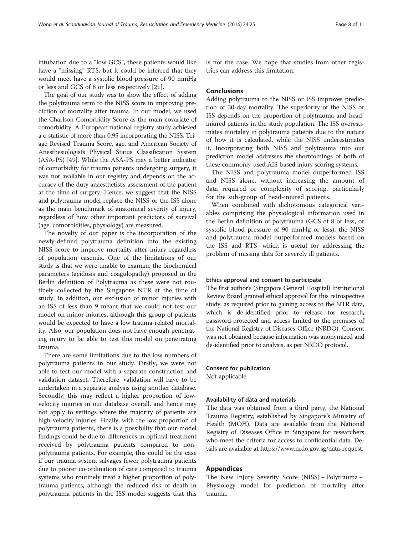intubation due to a "low GCS", these patients would like have a "missing" RTS, but it could be inferred that they would meet have a systolic blood pressure of 90 mmHg or less and GCS of 8 or less respectively [[21](#page-9-0)].

The goal of our study was to show the effect of adding the polytrauma term to the NISS score in improving prediction of mortality after trauma. In our model, we used the Charlson Comorbidity Score as the main covariate of comorbidity. A European national registry study achieved a c-statistic of more than 0.95 incorporating the NISS, Triage Revised Trauma Score, age, and American Society of Anesthesiologists Physical Status Classification System (ASA-PS) [\[49\]](#page-10-0). While the ASA-PS may a better indicator of comorbidity for trauma patients undergoing surgery, it was not available in our registry and depends on the accuracy of the duty anaesthetist's assessment of the patient at the time of surgery. Hence, we suggest that the NISS and polytrauma model replace the NISS or the ISS alone as the main benchmark of anatomical severity of injury, regardless of how other important predictors of survival (age, comorbidities, physiology) are measured.

The novelty of our paper is the incorporation of the newly-defined polytrauma definition into the existing NISS score to improve mortality after injury regardless of population casemix. One of the limitations of our study is that we were unable to examine the biochemical parameters (acidosis and coagulopathy) proposed in the Berlin definition of Polytrauma as these were not routinely collected by the Singapore NTR at the time of study. In addition, our exclusion of minor injuries with an ISS of less than 9 meant that we could not test our model on minor injuries, although this group of patients would be expected to have a low trauma-related mortality. Also, our population does not have enough penetrating injury to be able to test this model on penetrating trauma.

There are some limitations due to the low numbers of polytrauma patients in our study. Firstly, we were not able to test our model with a separate construction and validation dataset. Therefore, validation will have to be undertaken in a separate analysis using another database. Secondly, this may reflect a higher proportion of lowvelocity injuries in our database overall, and hence may not apply to settings where the majority of patients are high-velocity injuries. Finally, with the low proportion of polytrauma patients, there is a possibility that our model findings could be due to differences in optimal treatment received by polytrauma patients compared to nonpolytrauma patients. For example, this could be the case if our trauma system salvages fewer polytrauma patients due to poorer co-ordination of care compared to trauma systems who routinely treat a higher proportion of polytrauma patients, although the reduced risk of death in polytrauma patients in the ISS model suggests that this

is not the case. We hope that studies from other registries can address this limitation.

## **Conclusions**

Adding polytrauma to the NISS or ISS improves prediction of 30-day mortality. The superiority of the NISS or ISS depends on the proportion of polytrauma and headinjured patients in the study population. The ISS overestimates mortality in polytrauma patients due to the nature of how it is calculated, while the NISS underestimates it. Incorporating both NISS and polytrauma into our prediction model addresses the shortcomings of both of these commonly-used AIS-based injury scoring systems.

The NISS and polytrauma model outperformed ISS and NISS alone, without increasing the amount of data required or complexity of scoring, particularly for the sub-group of head-injured patients.

When combined with dichotomous categorical variables comprising the physiological information used in the Berlin definition of polytrauma (GCS of 8 or less, or systolic blood pressure of 90 mmHg or less), the NISS and polytrauma model outperformed models based on the ISS and RTS, which is useful for addressing the problem of missing data for severely ill patients.

## Ethics approval and consent to participate

The first author's (Singapore General Hospital) Institutional Review Board granted ethical approval for this retrospective study, as required prior to gaining access to the NTR data, which is de-identified prior to release for research, password-protected and access limited to the premises of the National Registry of Diseases Office (NRDO). Consent was not obtained because information was anonymized and de-identified prior to analysis, as per NRDO protocol.

## Consent for publication Not applicable.

## Availability of data and materials

The data was obtained from a third party, the National Trauma Registry, established by Singapore's Ministry of Health (MOH). Data are available from the National Registry of Diseases Office in Singapore for researchers who meet the criteria for access to confidential data. Details are available at<https://www.nrdo.gov.sg/data-request>.

## Appendices

The New Injury Severity Score (NISS) + Polytrauma + Physiology model for prediction of mortality after trauma.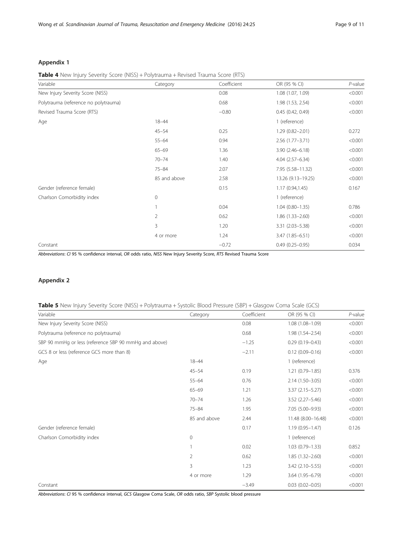## <span id="page-8-0"></span>Appendix 1

## Table 4 New Injury Severity Score (NISS) + Polytrauma + Revised Trauma Score (RTS)

| Variable                             | Category     | Coefficient | OR (95 % CI)        | $P$ -value |
|--------------------------------------|--------------|-------------|---------------------|------------|
| New Injury Severity Score (NISS)     |              | 0.08        | 1.08 (1.07, 1.09)   | < 0.001    |
| Polytrauma (reference no polytrauma) |              | 0.68        | 1.98 (1.53, 2.54)   | < 0.001    |
| Revised Trauma Score (RTS)           |              | $-0.80$     | 0.45(0.42, 0.49)    | < 0.001    |
| Age                                  | $18 - 44$    |             | 1 (reference)       |            |
|                                      | $45 - 54$    | 0.25        | $1.29(0.82 - 2.01)$ | 0.272      |
|                                      | $55 - 64$    | 0.94        | $2.56(1.77 - 3.71)$ | < 0.001    |
|                                      | $65 - 69$    | 1.36        | $3.90(2.46 - 6.18)$ | < 0.001    |
|                                      | $70 - 74$    | 1.40        | 4.04 (2.57-6.34)    | < 0.001    |
|                                      | $75 - 84$    | 2.07        | 7.95 (5.58-11.32)   | < 0.001    |
|                                      | 85 and above | 2.58        | 13.26 (9.13-19.25)  | < 0.001    |
| Gender (reference female)            |              | 0.15        | 1.17(0.94, 1.45)    | 0.167      |
| Charlson Comorbidity index           | $\circ$      |             | 1 (reference)       |            |
|                                      |              | 0.04        | $1.04(0.80 - 1.35)$ | 0.786      |
|                                      | 2            | 0.62        | $1.86(1.33 - 2.60)$ | < 0.001    |
|                                      | 3            | 1.20        | $3.31(2.03 - 5.38)$ | < 0.001    |
|                                      | 4 or more    | 1.24        | 3.47 (1.85-6.51)    | < 0.001    |
| Constant                             |              | $-0.72$     | $0.49(0.25 - 0.95)$ | 0.034      |

Abbreviations: CI 95 % confidence interval, OR odds ratio, NISS New Injury Severity Score, RTS Revised Trauma Score

## Appendix 2

#### Table 5 New Injury Severity Score (NISS) + Polytrauma + Systolic Blood Pressure (SBP) + Glasgow Coma Scale (GCS)

| Variable                                              | Category       | Coefficient | OR (95 % CI)           | $P$ -value |
|-------------------------------------------------------|----------------|-------------|------------------------|------------|
| New Injury Severity Score (NISS)                      |                | 0.08        | $1.08(1.08 - 1.09)$    | < 0.001    |
| Polytrauma (reference no polytrauma)                  |                | 0.68        | $1.98(1.54 - 2.54)$    | < 0.001    |
| SBP 90 mmHg or less (reference SBP 90 mmHg and above) |                | $-1.25$     | $0.29(0.19 - 0.43)$    | < 0.001    |
| GCS 8 or less (reference GCS more than 8)             |                | $-2.11$     | $0.12(0.09 - 0.16)$    | < 0.001    |
| Age                                                   | $18 - 44$      |             | 1 (reference)          |            |
|                                                       | $45 - 54$      | 0.19        | $1.21(0.79 - 1.85)$    | 0.376      |
|                                                       | $55 - 64$      | 0.76        | 2.14 (1.50-3.05)       | < 0.001    |
|                                                       | $65 - 69$      | 1.21        | $3.37(2.15 - 5.27)$    | < 0.001    |
|                                                       | $70 - 74$      | 1.26        | $3.52$ $(2.27 - 5.46)$ | < 0.001    |
|                                                       | $75 - 84$      | 1.95        | 7.05 (5.00-9.93)       | < 0.001    |
|                                                       | 85 and above   | 2.44        | 11.48 (8.00-16.48)     | < 0.001    |
| Gender (reference female)                             |                | 0.17        | $1.19(0.95 - 1.47)$    | 0.126      |
| Charlson Comorbidity index                            | 0              |             | 1 (reference)          |            |
|                                                       |                | 0.02        | $1.03(0.79 - 1.33)$    | 0.852      |
|                                                       | $\overline{2}$ | 0.62        | $1.85(1.32 - 2.60)$    | < 0.001    |
|                                                       | 3              | 1.23        | 3.42 (2.10-5.55)       | < 0.001    |
|                                                       | 4 or more      | 1.29        | 3.64 (1.95-6.79)       | < 0.001    |
| Constant                                              |                | $-3.49$     | $0.03(0.02 - 0.05)$    | < 0.001    |

Abbreviations: CI 95 % confidence interval, GCS Glasgow Coma Scale, OR odds ratio, SBP Systolic blood pressure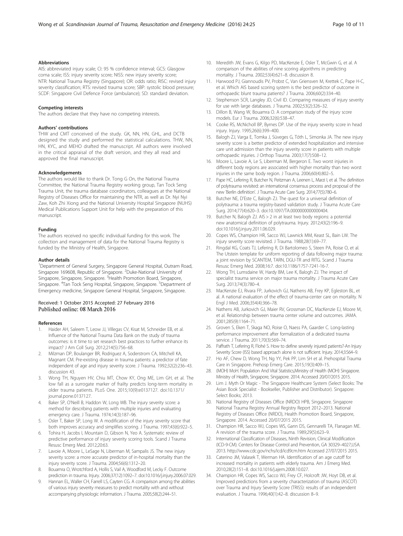## <span id="page-9-0"></span>Abbreviations

AIS: abbreviated injury scale; CI: 95 % confidence interval; GCS: Glasgow coma scale; ISS: injury severity score; NISS: new injury severity score; NTR: National Trauma Registry (Singapore); OR: odds ratio; RISC: revised injury severity classification; RTS: revised trauma score; SBP: systolic blood pressure; SCDF: Singapore Civil Defence Force (ambulance); SD: standard deviation.

#### Competing interests

The authors declare that they have no competing interests.

#### Authors' contributions

THW and CMT conceived of the study. GK, NN, HN, GHL, and DCTB designed the study and performed the statistical calculations. THW, NN, HN, KYC, and MEHO drafted the manuscript. All authors were involved in the critical appraisal of the draft version, and they all read and approved the final manuscript.

#### Acknowledgements

The authors would like to thank Dr. Tong G On, the National Trauma Committee, the National Trauma Registry working group, Tan Tock Seng Trauma Unit, the trauma database coordinators, colleagues at the National Registry of Diseases Office for maintaining the NTR, as well as Dr. Nyi Nyi Zaw, Koh Zhi Xiong and the National University Hospital Singapore (NUHS) Medical Publications Support Unit for help with the preparation of this manuscript.

#### Funding

The authors received no specific individual funding for this work. The collection and management of data for the National Trauma Registry is funded by the Ministry of Health, Singapore.

#### Author details

<sup>1</sup>Department of General Surgery, Singapore General Hospital, Outram Road, Singapore 169608, Republic of Singapore. <sup>2</sup>Duke-National University of Singapore, Singapore, Singapore. <sup>3</sup> Health Promotion Board, Singapore, Singapore. <sup>4</sup>Tan Tock Seng Hospital, Singapore, Singapore. <sup>5</sup>Department of Emergency medicine, Singapore General Hospital, Singapore, Singapore.

## Received: 1 October 2015 Accepted: 27 February 2016 Published online: 08 March 2016

#### References

- 1. Haider AH, Saleem T, Leow JJ, Villegas CV, Kisat M, Schneider EB, et al. Influence of the National Trauma Data Bank on the study of trauma outcomes: is it time to set research best practices to further enhance its impact? J Am Coll Surg. 2012;214(5):756–68.
- 2. Milzman DP, Boulanger BR, Rodriguez A, Soderstrom CA, Mitchell KA, Magnant CM. Pre-existing disease in trauma patients: a predictor of fate independent of age and injury severity score. J Trauma. 1992;32(2):236–43. discussion 43.
- 3. Wong TH, Nguyen HV, Chiu MT, Chow KY, Ong ME, Lim GH, et al. The low fall as a surrogate marker of frailty predicts long-term mortality in older trauma patients. PLoS One. 2015;10(9):e0137127. doi:[10.1371/](http://dx.doi.org/10.1371/journal.pone.0137127) [journal.pone.0137127](http://dx.doi.org/10.1371/journal.pone.0137127).
- 4. Baker SP, O'Neill B, Haddon W, Long WB. The injury severity score: a method for describing patients with multiple injuries and evaluating emergency care. J Trauma. 1974;14(3):187–96.
- 5. Osler T, Baker SP, Long W. A modification of the injury severity score that both improves accuracy and simplifies scoring. J Trauma. 1997;43(6):922–5.
- 6. Tohira H, Jacobs I, Mountain D, Gibson N, Yeo A. Systematic review of predictive performance of injury severity scoring tools. Scand J Trauma Resusc Emerg Med. 2012;20:63.
- 7. Lavoie A, Moore L, LeSage N, Liberman M, Sampalis JS. The new injury severity score: a more accurate predictor of in-hospital mortality than the injury severity score. J Trauma. 2004;56(6):1312–20.
- 8. Bouamra O, Wrotchford A, Hollis S, Vail A, Woodford M, Lecky F. Outcome prediction in trauma. Injury. 2006;37(12):1092–7. doi:[10.1016/j.injury.2006.07.029](http://dx.doi.org/10.1016/j.injury.2006.07.029).
- Hannan EL, Waller CH, Farrell LS, Cayten CG. A comparison among the abilities of various injury severity measures to predict mortality with and without accompanying physiologic information. J Trauma. 2005;58(2):244–51.
- 10. Meredith JW, Evans G, Kilgo PD, MacKenzie E, Osler T, McGwin G, et al. A comparison of the abilities of nine scoring algorithms in predicting mortality. J Trauma. 2002;53(4):621–8. discussion 8.
- 11. Harwood PJ, Giannoudis PV, Probst C, Van Griensven M, Krettek C, Pape H-C, et al. Which AIS based scoring system is the best predictor of outcome in orthopaedic blunt trauma patients? J Trauma. 2006;60(2):334–40.
- 12. Stephenson SCR, Langley JD, Civil ID. Comparing measures of injury severity for use with large databases. J Trauma. 2002;53(2):326–32.
- 13. Dillon B, Wang W, Bouamra O. A comparison study of the injury score models. Eur J Trauma. 2006;32(6):538–47.
- 14. Cooke RS, McNicholl BP, Byrnes DP. Use of the injury severity score in head injury. Injury. 1995;26(6):399–400.
- 15. Balogh ZJ, Varga E, Tomka J, Süveges G, Tóth L, Simonka JA. The new injury severity score is a better predictor of extended hospitalization and intensive care unit admission than the injury severity score in patients with multiple orthopaedic injuries. J Orthop Trauma. 2003;17(7):508–12.
- 16. Moore L, Lavoie A, Le S, Liberman M, Bergeron E. Two worst injuries in different body regions are associated with higher mortality than two worst injuries in the same body region. J Trauma. 2006;60(4):802–5.
- 17. Pape HC, Lefering R, Butcher N, Peitzman A, Leenen L, Marzi I, et al. The definition of polytrauma revisited: an international consensus process and proposal of the new 'Berlin definition'. J Trauma Acute Care Surg. 2014;77(5):780–6.
- 18. Butcher NE, D'Este C, Balogh ZJ. The quest for a universal definition of polytrauma: a trauma registry-based validation study. J Trauma Acute Care Surg. 2014;77(4):620–3. doi:[10.1097/TA.0000000000000404](http://dx.doi.org/10.1097/TA.0000000000000404).
- 19. Butcher N, Balogh ZJ. AIS > 2 in at least two body regions: a potential new anatomical definition of polytrauma. Injury. 2012;43(2):196–9. doi[:10.1016/j.injury.2011.06.029.](http://dx.doi.org/10.1016/j.injury.2011.06.029)
- 20. Copes WS, Champion HR, Sacco WJ, Lawnick MM, Keast SL, Bain LW. The injury severity score revisited. J Trauma. 1988;28(1):69–77.
- 21. Ringdal KG, Coats TJ, Lefering R, Di Bartolomeo S, Steen PA, Roise O, et al. The Utstein template for uniform reporting of data following major trauma: a joint revision by SCANTEM, TARN, DGU-TR and RITG. Scand J Trauma Resusc Emerg Med. 2008;16:7. doi[:10.1186/1757-7241-16-7](http://dx.doi.org/10.1186/1757-7241-16-7).
- 22. Wong TH, Lumsdaine W, Hardy BM, Lee K, Balogh ZJ. The impact of specialist trauma service on major trauma mortality. J Trauma Acute Care Surg. 2013;74(3):780–4.
- 23. MacKenzie EJ, Rivara FP, Jurkovich GJ, Nathens AB, Frey KP, Egleston BL, et al. A national evaluation of the effect of trauma-center care on mortality. N Engl J Med. 2006;354(4):366–78.
- 24. Nathens AB, Jurkovich GJ, Maier RV, Grossman DC, MacKenzie EJ, Moore M, et al. Relationship between trauma center volume and outcomes. JAMA. 2001;285(9):1164–71.
- 25. Groven S, Eken T, Skaga NO, Roise O, Naess PA, Gaarder C. Long-lasting performance improvement after formalization of a dedicated trauma service. J Trauma. 2011;70(3):569–74.
- 26. Paffrath T, Lefering R, Flohé S. How to define severely injured patients?-An Injury Severity Score (ISS) based approach alone is not sufficient. Injury. 2014;3:S64–9.
- 27. Ho AF, Chew D, Wong TH, Ng YY, Pek PP, Lim SH et al. Prehospital Trauma Care in Singapore. Prehosp Emerg Care. 2015;19(3):409–15.
- 28. (MOH) MoH. Population And Vital Statistics,Ministry of Health (MOH) Singapore. Ministry of Health, Singapore, Singapore. 2014. Accessed 20/07/2015 2015.
- 29. Lim J. Myth Or Magic The Singapore Healthcare System (Select Books: The Asian Book Specialist - Bookseller, Publisher and Distributor). Singapore: Select Books; 2013.
- 30. National Registry of Diseases Office (NRDO) HPB, Singapore. Singapore National Trauma Registry Annual Registry Report 2012–2013. National Registry of Diseases Office (NRDO), Health Promotion Board, Singapore, Singapore. 2014. Accessed 20/07/2015 2015.
- 31. Champion HR, Sacco WJ, Copes WS, Gann DS, Gennarelli TA, Flanagan ME. A revision of the trauma score. J Trauma. 1989;29(5):623–9.
- 32. International Classification of Diseases, Ninth Revision, Clinical Modification (ICD-9-CM). Centers for Disease Control and Prevention, GA 30329–4027,USA. 2013.<http://www.cdc.gov/nchs/icd/icd9cm.htm> Accessed 27/07/2015 2015.
- 33. Caterino JM, Valasek T, Werman HA. Identification of an age cutoff for increased mortality in patients with elderly trauma. Am J Emerg Med. 2010;28(2):151–8. doi:[10.1016/j.ajem.2008.10.027](http://dx.doi.org/10.1016/j.ajem.2008.10.027).
- 34. Champion HR, Copes WS, Sacco WJ, Frey CF, Holcroft JW, Hoyt DB, et al. Improved predictions from a severity characterization of trauma (ASCOT) over Trauma and Injury Severity Score (TRISS): results of an independent evaluation. J Trauma. 1996;40(1):42–8. discussion 8–9.